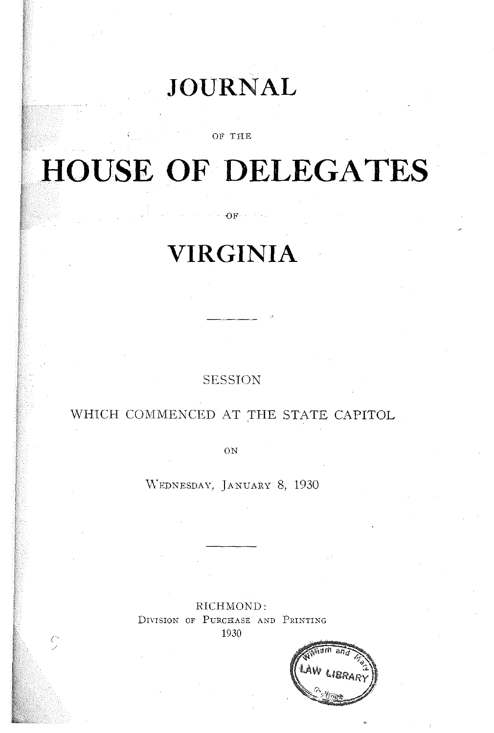# **JOURNAL**

OF THE

# **HOUSE OF DELEGATES**

# **VIRGINIA**

 $\mathcal{O}(\mathbf{F}) \times \mathcal{O}(\mathbf{F}) \times \mathcal{O}(\mathbf{F})$ 

## SESSION

# WHICH COMMENCED AT THE STATE CAPITOL

ON

\iVEDNESDAY, JANUARY 8, 1930

RICHMOND: DIVISION OF PURCHASE AND PRINTING 1930

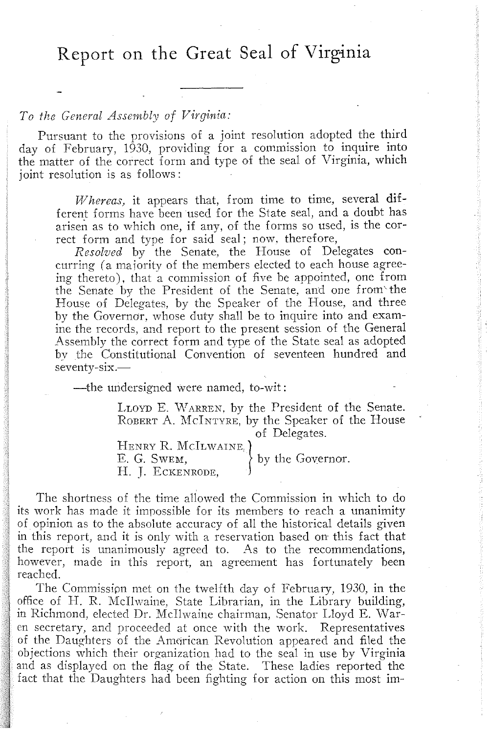Report on the Great Seal of **Virginia** 

## *To the General Assembly of Virginia:*

Pursuant to the provisions of a joint resolution adopted the third day of February, 1930, providing for a commission to inquire into the matter of the correct form and type of the seal of Virginia, which joint resolution is as follows:

*'Whereas,* it appears that, from time to time, several different forms have been used for the State seal, and a doubt has arisen as to which one, if any, of the forms so used, is the correct form and type for said seal; now, therefore,

*Resolved* by the Senate, the House of Delegates concurring (a majority of the members elected to each house agreeing thereto), that a commission of five be appointed, one from the Senate by the President of the Senate, and one from'the House of Delegates, by the Speaker of the House, and three by the Governor, whose duty shall be to inquire into and examine the records, and report to the present session of the General Assembly the correct form and type of the State seal as adopted by the Constitutional Convention of seventeen hundred and seventy-six.-

-the undersigned were named, to-wit:

LLOYD E. WARREN, by the President of the Senate. ROBERT A. MCINTYRE, by the Speaker of the House<br>of Delegates. of Delegates.

HENRY R. McILWAINE.} E. G. Swem,  $\}$  by the Governor. H. J. ECKENRODE,

The shortness of the time allowed the Commission in which to do its work has made it impossible for its members to reach a unanimity of opinion as to the absolute accuracy of all the historical details given in this report, and it is only with a reservation based on this fact that the report is unanimously agreed to. As to the recommendations, however, made in this report, an agreement has fortunately been reached.

The Commissipn met on the twelfth day of February, 1930, in the office of H. R. McIlvvaine, State Librarian, in the Library building, in Richmond, elected Dr. McIlwaine chairman, Senator Lloyd E. Waren secretary, and proceeded at once with the work. Representatives of the Daughters of the American Revolution appeared and filed the objections which their organization had to the seal in use by Virginia and as displayed on the flag of the State. These ladies reported the fact that the Daughters had been fighting for action on this most im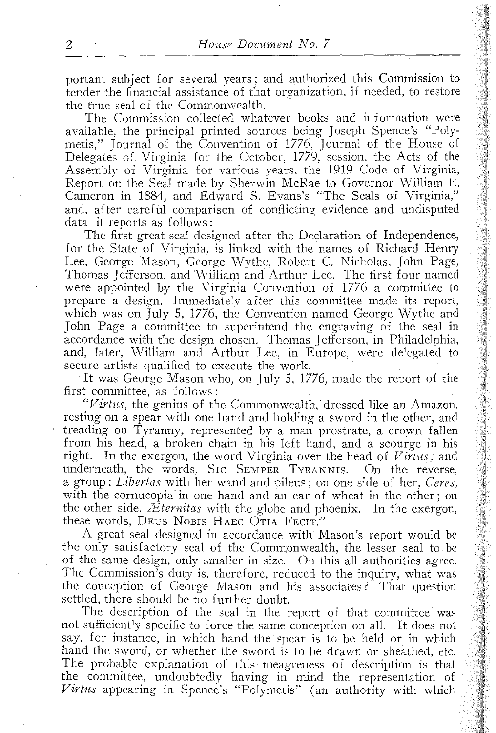portant subject for several years; and authorized this Commission to tender the financial assistance of that organization, if needed, to restore the true seal of the Commonwealth.

The Commission collected whatever books and information were available, the principal printed sources being Joseph Spence's "Polymetis," Journal of the Convention of 1776, Journal of the House of Delegates of Virginia for the October, 1779, session, the Acts of the Assembly of Virginia for various years, the 1919 Code of Virginia, Report on the Seal made by Sherwin McRae to Governor William E. Cameron in 1884, and Edward S. Evans's "The Seals of Virginia," and, after careful comparison of conflicting evidence and undisputed data. it reports as follows:

The first great seal designed after the Declaration of Independence, for the State of Virginia, is linked with the names of Richard Henry Lee, George Mason, George Wythe, Robert C. Nicholas, John Page, Thomas Jefferson, and William and Arthur Lee. The first four named were appointed by the Virginia Convention of 1776 a committee to prepare a design. Immediately after this committee made its report, which was on July 5, 1776, the Convention named George Wythe and John Page a committee to superintend the engraving of the seal in accordance with the design chosen. Thomas Jefferson, in Philadelphia, and, later, William and Arthur Lee, in Europe, were delegated to secure artists qualified to execute the work.

It was George Mason who, on July 5, 1776, made the report of the first committee, as follows:

*"Virtu.),* the genius of the Commonwealth, dressed like an Amazon, resting on a spear with one hand and holding a sword in the other, and treading on Tyranny, represented by a man prostrate, a crown fallen from his head, a broken chain in his left hand, and a scourge in his right. In the exergon, the word Virginia over the head of *Virtus;* and underneath, the words, SIC SEMPER TYRANNIS. On the reverse, a group: *Libertas* with her wand and pileus; on one side of her, *Ceres,*  with the cornucopia in one hand and an ear of wheat in the other; on the other side, *ZEternitas* with the globe and phoenix. In the exergon, these words, DEUS NOBIS HAEC OTIA FECIT."

A great seal designed in accordance with Mason's report would be the only satisfactory seal of the Commonwealth, the lesser seal to be of the same design, only smaller in size. On this all authorities agree. The Commission's duty is, therefore, reduced to the inquiry, what was the conception of George Mason and his associates? That question settled, there should be no further doubt.

The description of the seal in the report of that committee was not sufficiently specific to force the same conception on all. It does not say, for instance, in which hand the spear is to be held or in which hand the sword, or whether the sword is to be drawn or sheathed, etc. The probable explanation of this meagreness of description is that the committee, undoubtedly having in mind the representation of *Virtus* appearing in Spence's "Polymetis" (an authority with which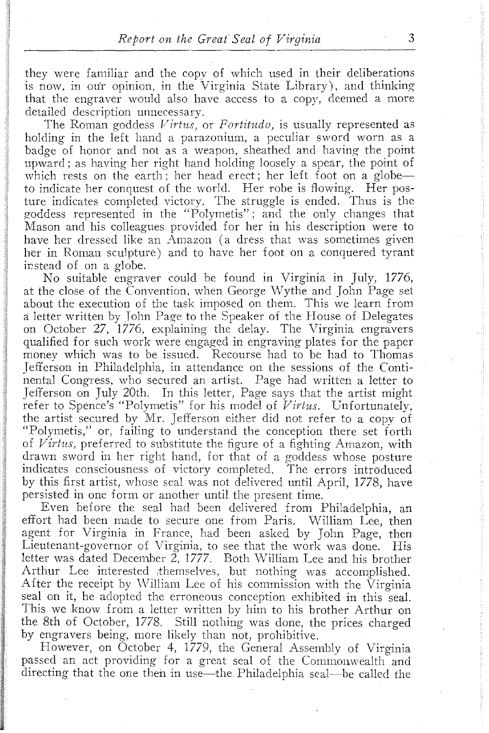they were familiar and the copy of which used in their deliberations is now. in our opinion. in the Virginia State Library). and thinking that the engraver would also have access to a copy. deemed a more detailed description unnecessary.

The Roman goddess Virtus, or Fortitudo, is usually represented as holding in the left hand a parazonium, a peculiar sword worn as a badge of honor and not as a weapon, sheathed and having the point upward; as having her right hand holding loosely a spear, the point of which rests on the earth; her head erect; her left foot on a globeto indicate her conquest of the world. Her robe is flowing. Her posture indicates completed victory. The struggle is ended. Thus is the goddess represented in the "Polymetis"; and the only changes that Mason and his colleagues provided for her in his description were to have her dressed like an Amazon (a dress that was sometimes given her in Roman sculpture) and to have her foot on a conquered tyrant instead of on a globe.

No suitable engraver could be found in Virginia in July, 1776, at the close of the Convention, when George Wythe and John Page set about the execution of the task imposed on them. This we learn from a letter written by John Page to the Speaker of the House of Delegates on October 27, 1776. explaining the delay. The Virginia engravers qualified for such work were engaged in engraving plates for the paper money which was to be issued. Recourse had to be had to Thomas Jefferson in Philadelphia, in attendance on the sessions of the Continental Congress. who secured an artist. Page had written a letter to Jefferson on July 20th. In this letter, Page says that the artist might refer to Spence's "Polymetis" for his model of *Virtus*. Unfortunately, the artist secured by Mr. Jefferson either did not refer to a copy of "Polymetis," or, failing to understand the conception there set forth of *Virtus,* preferred to substitute the figure of a fighting Amazon, with drawn sword in her right hand, for that of a goddess whose posture indicates consciousness of victory completed. The errors introduced by this first artist, whose seal was not delivered until April, 1778, have persisted in one form or another until the present time.

Even before the seal had been delivered from Philadelphia, an effort had been made to secure one from Paris. William Lee, then agent for Virginia in France, had been asked by John Page, then Lieutenant-governor of Virginia, to see that the work was done. His letter was dated December  $\tilde{Z}$ , 1777. Both William Lee and his brother Arthur Lee interested themselves, but nothing was accomplished. After the receipt by William Lee of his commission with the Virginia seal on it, he adopted the erroneous conception exhibited in this seal. This we know from a letter written by him to his brother Arthur on the 8th of October, 1778. Still nothing was done, the prices charged by engravers being, more likely than not, prohibitive.

However, on October 4, 1779, the General Assembly of Virginia passed an act providing for a great seal of the Commonwealth and directing that the one then in use—the Philadelphia seal—be called the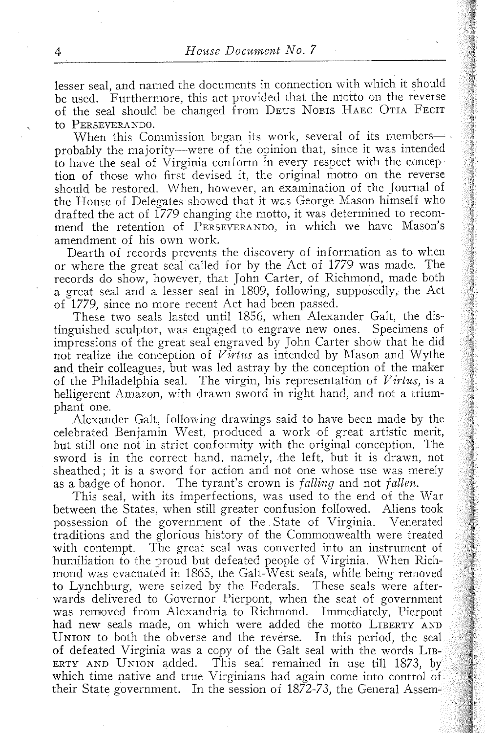lesser seal, and named the documents in connection with which it should be used. 'Furthermore, this act provided that the motto on the reverse of the seal should be changed from DEUS NOBIS HAEC OTIA FECIT to PERSEVERANDO.

When this Commission began its work, several of its membersprobably the majority---were of the opinion that, since it was intended to have the seal of Virginia conform in every respect with the conception of those who. first devised it, the original motto on the reverse should be restored. When, however, an examination of the Journal of the House of Delegates showed that it was George Mason himself who drafted the act of 1779 changing the motto, it was determined to recommend the retention of PERSEVERANDO, in which we have Mason's amendment of his own work.

Dearth of records prevents the discovery of information as to when or where the great seal called for by the Act of 1779 was made. The records do show, however, that John Carter, of Richmond, made both a great seal and a lesser seal in 1809, following, supposedly, the Act of 1779, since no more recent Act had been passed.

These two seals lasted until 1856, when Alexander Galt, the distinguished sculptor, was engaged to engrave new ones. Specimens of impressions of the great seal engraved by John Carter show that he did not realize the conception of *Virtus* as intended by Mason and Wythe and their colleagues, but was led astray by the conception of the maker of the Philadelphia seal. The virgin, his representation of *V irtus,* is a belligerent Amazon, with drawn sword in right hand, and not a triumphant one.

Alexander Galt, following drawings said to have been made by the celebrated Benjamin \Vest, produced a work of great artistic merit, but still one not in strict conformity with the original conception. The sword is in the correct hand, namely, the left, but it is drawn, not sheathed; it is a sword for action and not one whose use was merely as a badge of honor. The tyrant's crown is *falling* and not *fallen.* 

This seal, with its imperfections, was used to the end of the \Var between the States, when still greater confusion followed. Aliens took possession of the government of the State of Virginia. Venerated traditions and the glorious history of the Commonwealth were treated with contempt. The great seal was converted into an instrument of humiliation to the proud but defeated people of Virginia. \Vhen Richmond was evacuated in 1865, the Galt-\Vest seals, while being removed to Lynchburg, were seized by the Federals. These seals were afterwards delivered to Governor Pierpont, when the seat of government was removed from Alexandria to Richmond. Immediately, Pierpont had new seals made, on which were added the motto LIBERTY AND UNION to both the obverse and the reverse. In this period, the seal of defeated Virginia was a copy of the Galt seal with the words LIB-ERTY AND UNION added. This seal remained in use till 1873, by which time native and true Virginians had again come into control of their State government. In the session of 1872-73, the General Assem-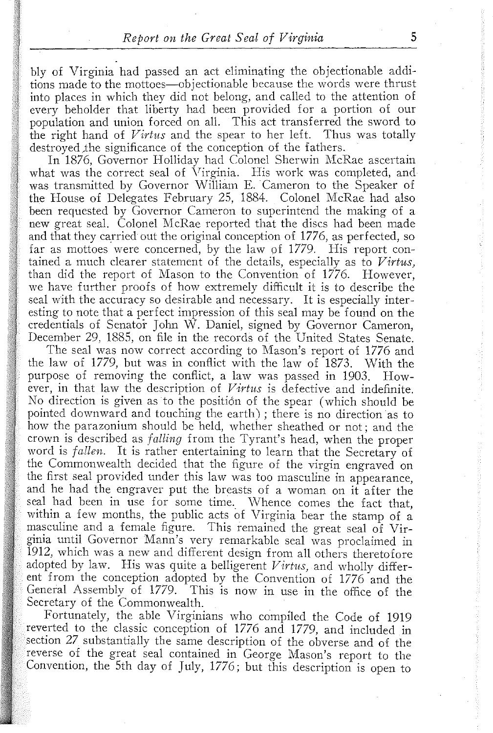bly of Virginia had passed an act eliminating the objectionable additions made to the mottoes-objectionable because the words were thrust into places in which they did not belong, and called to the attention of every beholder that liberty had been provided for a portion of our population and union forced on all. This act transferred the sword to the right hand of *Virtus* and the spear to her left. Thus was totally destroyed the significance of the conception of the fathers.

In 1876, Governor Holliday had Colonel Sherwin McRae ascertain what was the correct seal of Virginia. His work was completed, and was transmitted by Governor William E. Cameron to the Speaker of the House of Delegates February 25, 1884. Colonel McRae had also been requested by Governor Cameron to superintend the making of a new great seal. Colonel McRae reported that the discs had been made and that they carried out the original conception of 1776, as perfected, so far as mottoes were concerned, by the law of 1779. His report contained a much clearer statement of the details, especially as to *Virtus,*  than did the report of Mason to the Convention of 1776. However, we have further proofs of how extremely difficult it is to describe the seal with the accuracy so desirable and necessary. It is especially interesting to note that a perfect impression of this seal may be found on the credentials of Senator John W. Daniel, signed by Governor Cameron, December 29, 1885, on file in the records of the United States Senate.

The seal was now correct according to Mason's report of 1776 and the law of 1779, but was in conflict with the law of  $1873$ . With the purpose of removing the conflict, a law was passed in 1903. However, in that law the description of *Virtus* is defective and indefinite. No direction is given as to the position of the spear (which should be pointed downward and touching the earth); there is no direction as to how the parazonium should be held, whether sheathed or not; and the crown is described as *falling* from the Tyrant's head, when the proper word is *fallen.* It is rather entertaining to learn that the Secretary of the Commonwealth decided that the figure of the virgin engraved on the first seal provided under this law was too masculine in appearance, and he had the engraver put the breasts of a woman on it after the seal had been in use for some time. Whence comes the fact that, within a few months, the public acts of Virginia bear the stamp of a masculine and a female figure. This remained the great seal of Virginia until Governor Mann's very remarkable seal was proclaimed in 1912, which was a new and different design from all others theretofore adopted by law. His was quite a belligerent *Virtus,* and wholly different from the conception adopted by the Convention of 1776 and the General Assembly of 1779. This is now in use in the office of the Secretary of the Commonwealth.

Fortunately, the able Virginians who compiled the Code of 1919 reverted to the classic conception of 1776 and 1779, and included in section 27 substantially the same description of the obverse and of the reverse of the great seal contained in George Mason's report to the Convention, the 5th day of July, 1776; but this description is open to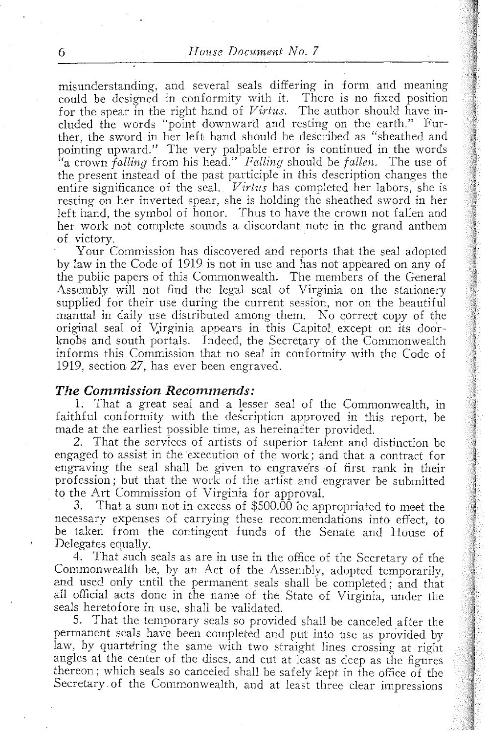misunderstanding, and several seals differing in form and meaning could be designed in conformity with it. There is no fixed position for the spear in the right hand of  $Virtus$ . The author should have included the words "point downward and resting on the earth." Further. the sword in her left hand should be described as "sheathed and pointing upward." The very palpable error is continued in the words "a crown *falling* from his head." *Falling* should be *fallen.* The use of the present instead of the past participle in this description changes the entire significance of the seal. *Virtus* has completed her labors, she is resting on her inverted spear, she is holding the sheathed sword in her left hand, the symbol of honor. Thus to have the crown not fallen and her work not complete sounds a discordant note in the grand anthem of victory.

Your Commission has discovered and reports that the seal adopted by law in the Code of 1919 is not in use and has not appeared on any of the public papers of this Commonwealth. The members of the General Assembly will not find the legal seal of Virginia on the stationery supplied' for their use during the current session, nor on the beautiful manual in daily use distributed among them. No correct copy of the original seal of Virginia appears in this Capitol except on its doorknobs and south portals. Indeed, the Secretary of the Commonwealth informs this Commission that no seal in conformity with the Code of 1919, section 27, has ever been engraved.

#### *The Commission Recommends:*

1. That a great seal and a lesser seal of the Commonwealth, in faithful conformity with the description approved in this report, be made at the earliest possible time, as hereinafter provided.

2. That the services of artists of superior talent and distinction be engaged to assist in the execution of the work; and that a contract for engraving the seal shall be given to engravers of first rank in their profession; but that the work of the artist and engraver be submitted to the Art Commission of Virginia for approval.<br>3. That a sum not in excess of \$500.00 be approved.

That a sum not in excess of \$500.00 be appropriated to meet the necessary expenses of carrying these recommendations into effect, to be taken from the contingent funds of the Senate and House of Delegates equally.

4. That such seals as are in use in the office of the Secretary of the Commonwealth be, by an Act of the Assembly, adopted temporarily, and used only until the permanent seals shall be completed; and that all official acts done in the name of the State of Virginia, under the seals heretofore in use, shall be validated.

S. That the temporary seals so provided shall be canceled after the permanent seals have been completed and put into use as provided by law, by quartering the same with two straight lines crossing at right angles at the center of the discs, and cut at least as deep as the figures thereon; which seals so canceled shall be safely kept in the office of the Secretary of the Commonwealth, and at least three clear impressions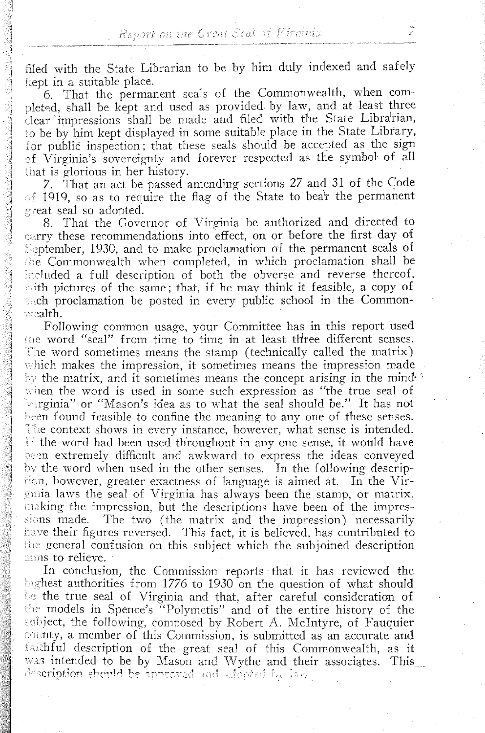filed with the State Librarian to be by him duly indexed and safely kept in a suitable place.

6. That the permanent seals of the Commonwealth, when com pleted, shall be kept and used as provided by law, and at least three clear impressions shall be made and filed with the State Librarian, ;0 be hy him kept displayed in some suitable place in the State Library, for public inspection; that these seals should be accepted as the sign ~:f Virginia's sovereignty and forever respected as the symbol of all that is glorious in her history.

7. That an act be passed amending sections 27 and 31 of the Code  $\sigma$  1919, so as to require the flag of the State to bear the permanent creat seal so adopted.

, 8. That the Governor of Virginia be authorized and directed to carry these recommendations into effect, on or before the first day of September, 1930, and to make proclamation of the permanent seals of the Commonwealth when completed, in which proclamation shall be included a full description of both the obverse and reverse thereof. with pictures of the same; that, if he may think it feasible, a copy of such proclamation be posted in every public school in the Commonwealth.

Following common usage, your Committee has in this report used the word "seal" from time to time in at least three different senses. The word sometimes means the stamp (technically called the matrix) which makes the impression, it sometimes means the impression made  $\mathbb{R}^n$  the matrix, and it sometimes means the concept arising in the mindwhen the word is used in some such expression as "the true seal of  $\forall$ irginia" or "Mason's idea as to what the seal should be." It has not been found feasible to confine the meaning to any one of these senses. The context shows in every instance, however, what sense is intended. If the word had been used throughout in any one sense, it would have been extremely difficult and awkward to express the ideas conveyed by the word when used in the other senses. In the following descrip $i$ ion, however, greater exactness of language is aimed at. In the Virginia laws the seal of Virginia has always been the stamp, or matrix, making the impression, but the descriptions have been of the impressions made. The two (the matrix and the impression) necessarily have their figures reversed. This fact, it is believed, has contributed to the general confusion on this subject which the subjoined description aims to relieve.

In conclusion, the Commission reports that it has reviewed the highest authorities from 1776 to 1930 on the question of what should be the true seal of Virginia and that, after careful consideration of the models in Spence's "Polymetis" and of the entire history of the subject, the following, composed by Robert A. McIntyre, of Fauquier county, a member of this Commission, is submitted as an accurate and faithful description of the great seal of this Commonwealth, as it was intended to be by Mason and Wythe and their associates. This description should be approved and adopted by law